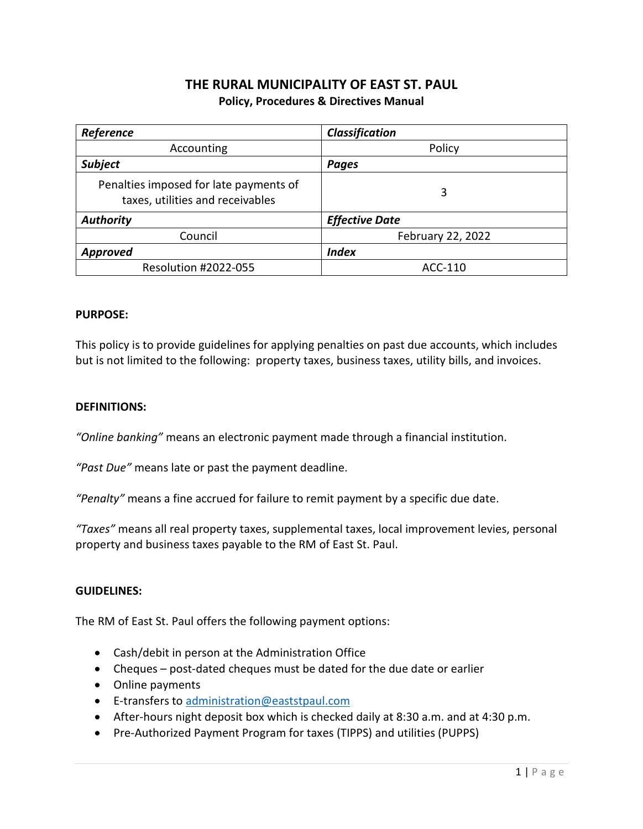# **THE RURAL MUNICIPALITY OF EAST ST. PAUL Policy, Procedures & Directives Manual**

| Reference                                                                  | Classification        |
|----------------------------------------------------------------------------|-----------------------|
| Accounting                                                                 | Policy                |
| <b>Subject</b>                                                             | <b>Pages</b>          |
| Penalties imposed for late payments of<br>taxes, utilities and receivables | 3                     |
| Authority                                                                  | <b>Effective Date</b> |
| Council                                                                    | February 22, 2022     |
| <b>Approved</b>                                                            | <b>Index</b>          |
| Resolution #2022-055                                                       | ACC-110               |

#### **PURPOSE:**

This policy is to provide guidelines for applying penalties on past due accounts, which includes but is not limited to the following: property taxes, business taxes, utility bills, and invoices.

#### **DEFINITIONS:**

*"Online banking"* means an electronic payment made through a financial institution.

*"Past Due"* means late or past the payment deadline.

*"Penalty"* means a fine accrued for failure to remit payment by a specific due date.

*"Taxes"* means all real property taxes, supplemental taxes, local improvement levies, personal property and business taxes payable to the RM of East St. Paul.

#### **GUIDELINES:**

The RM of East St. Paul offers the following payment options:

- Cash/debit in person at the Administration Office
- Cheques post-dated cheques must be dated for the due date or earlier
- Online payments
- **E-transfers to [administration@eaststpaul.com](mailto:administration@eaststpaul.com)**
- After-hours night deposit box which is checked daily at 8:30 a.m. and at 4:30 p.m.
- Pre-Authorized Payment Program for taxes (TIPPS) and utilities (PUPPS)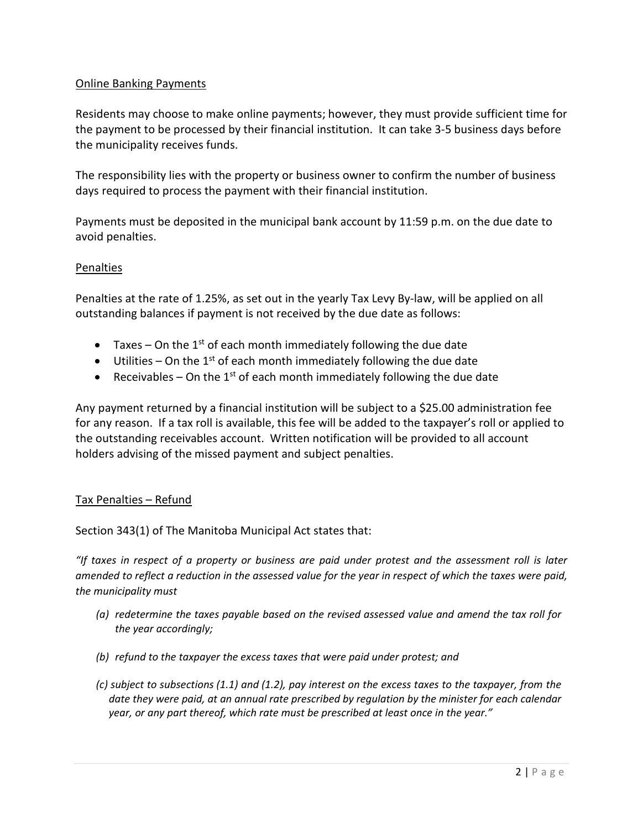### Online Banking Payments

Residents may choose to make online payments; however, they must provide sufficient time for the payment to be processed by their financial institution. It can take 3-5 business days before the municipality receives funds.

The responsibility lies with the property or business owner to confirm the number of business days required to process the payment with their financial institution.

Payments must be deposited in the municipal bank account by 11:59 p.m. on the due date to avoid penalties.

### Penalties

Penalties at the rate of 1.25%, as set out in the yearly Tax Levy By-law, will be applied on all outstanding balances if payment is not received by the due date as follows:

- Taxes On the 1<sup>st</sup> of each month immediately following the due date
- $\bullet$  Utilities On the 1<sup>st</sup> of each month immediately following the due date
- **•** Receivables On the 1<sup>st</sup> of each month immediately following the due date

Any payment returned by a financial institution will be subject to a \$25.00 administration fee for any reason. If a tax roll is available, this fee will be added to the taxpayer's roll or applied to the outstanding receivables account. Written notification will be provided to all account holders advising of the missed payment and subject penalties.

# Tax Penalties – Refund

Section 343(1) of The Manitoba Municipal Act states that:

*"If taxes in respect of a property or business are paid under protest and the assessment roll is later amended to reflect a reduction in the assessed value for the year in respect of which the taxes were paid, the municipality must* 

- *(a) redetermine the taxes payable based on the revised assessed value and amend the tax roll for the year accordingly;*
- *(b) refund to the taxpayer the excess taxes that were paid under protest; and*
- *(c) subject to subsections (1.1) and (1.2), pay interest on the excess taxes to the taxpayer, from the date they were paid, at an annual rate prescribed by regulation by the minister for each calendar year, or any part thereof, which rate must be prescribed at least once in the year."*